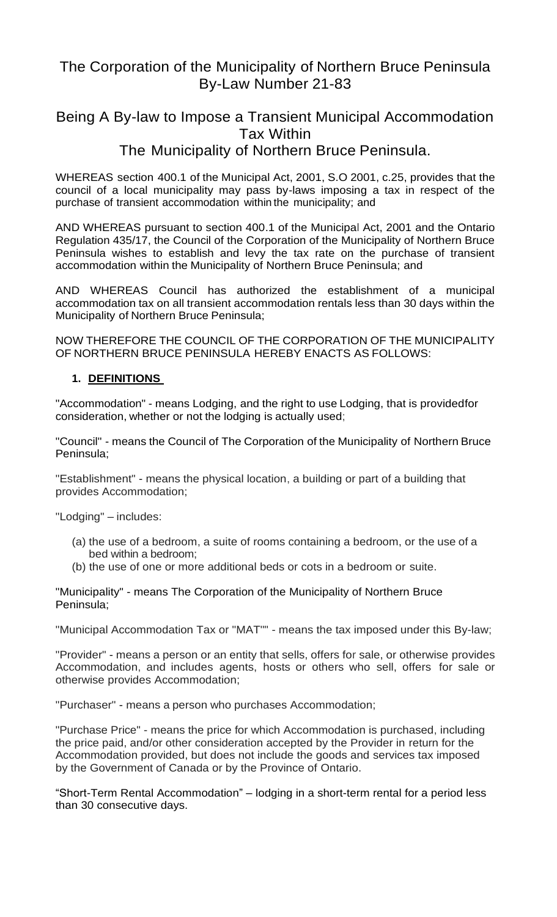## The Corporation of the Municipality of Northern Bruce Peninsula By-Law Number 21-83

# Being A By-law to Impose a Transient Municipal Accommodation Tax Within The Municipality of Northern Bruce Peninsula.

WHEREAS section 400.1 of the Municipal Act, 2001, S.O 2001, c.25, provides that the council of a local municipality may pass by-laws imposing a tax in respect of the purchase of transient accommodation within the municipality; and

AND WHEREAS pursuant to section 400.1 of the Municipal Act, 2001 and the Ontario Regulation 435/17, the Council of the Corporation of the Municipality of Northern Bruce Peninsula wishes to establish and levy the tax rate on the purchase of transient accommodation within the Municipality of Northern Bruce Peninsula; and

AND WHEREAS Council has authorized the establishment of a municipal accommodation tax on all transient accommodation rentals less than 30 days within the Municipality of Northern Bruce Peninsula;

NOW THEREFORE THE COUNCIL OF THE CORPORATION OF THE MUNICIPALITY OF NORTHERN BRUCE PENINSULA HEREBY ENACTS AS FOLLOWS:

## **1. DEFINITIONS**

"Accommodation" - means Lodging, and the right to use Lodging, that is providedfor consideration, whether or not the lodging is actually used;

"Council" - means the Council of The Corporation of the Municipality of Northern Bruce Peninsula;

"Establishment" - means the physical location, a building or part of a building that provides Accommodation;

"Lodging" – includes:

- (a) the use of a bedroom, a suite of rooms containing a bedroom, or the use of a bed within a bedroom;
- (b) the use of one or more additional beds or cots in a bedroom or suite.

"Municipality" - means The Corporation of the Municipality of Northern Bruce Peninsula;

"Municipal Accommodation Tax or "MAT"" - means the tax imposed under this By-law;

"Provider" - means a person or an entity that sells, offers for sale, or otherwise provides Accommodation, and includes agents, hosts or others who sell, offers for sale or otherwise provides Accommodation;

"Purchaser" - means a person who purchases Accommodation;

"Purchase Price" - means the price for which Accommodation is purchased, including the price paid, and/or other consideration accepted by the Provider in return for the Accommodation provided, but does not include the goods and services tax imposed by the Government of Canada or by the Province of Ontario.

"Short-Term Rental Accommodation" – lodging in a short-term rental for a period less than 30 consecutive days.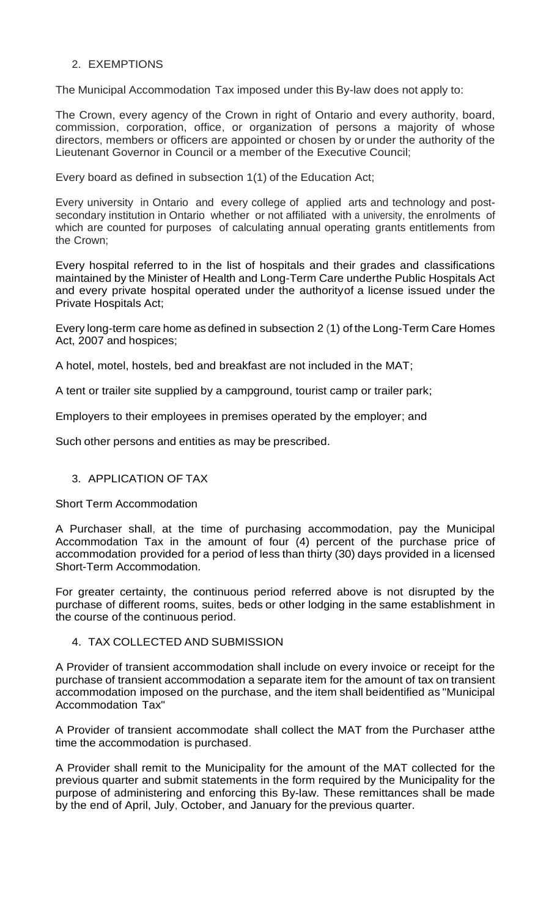#### 2. EXEMPTIONS

The Municipal Accommodation Tax imposed under this By-law does not apply to:

The Crown, every agency of the Crown in right of Ontario and every authority, board, commission, corporation, office, or organization of persons a majority of whose directors, members or officers are appointed or chosen by or under the authority of the Lieutenant Governor in Council or a member of the Executive Council;

Every board as defined in subsection 1(1) of the Education Act;

Every university in Ontario and every college of applied arts and technology and postsecondary institution in Ontario whether or not affiliated with a university, the enrolments of which are counted for purposes of calculating annual operating grants entitlements from the Crown;

Every hospital referred to in the list of hospitals and their grades and classifications maintained by the Minister of Health and Long-Term Care underthe Public Hospitals Act and every private hospital operated under the authorityof a license issued under the Private Hospitals Act;

Every long-term care home as defined in subsection 2 (1) of the Long-Term Care Homes Act, 2007 and hospices;

A hotel, motel, hostels, bed and breakfast are not included in the MAT;

A tent or trailer site supplied by a campground, tourist camp or trailer park;

Employers to their employees in premises operated by the employer; and

Such other persons and entities as may be prescribed.

## 3. APPLICATION OF TAX

Short Term Accommodation

A Purchaser shall, at the time of purchasing accommodation, pay the Municipal Accommodation Tax in the amount of four (4) percent of the purchase price of accommodation provided for a period of less than thirty (30) days provided in a licensed Short-Term Accommodation.

For greater certainty, the continuous period referred above is not disrupted by the purchase of different rooms, suites, beds or other lodging in the same establishment in the course of the continuous period.

## 4. TAX COLLECTED AND SUBMISSION

A Provider of transient accommodation shall include on every invoice or receipt for the purchase of transient accommodation a separate item for the amount of tax on transient accommodation imposed on the purchase, and the item shall beidentified as "Municipal Accommodation Tax"

A Provider of transient accommodate shall collect the MAT from the Purchaser atthe time the accommodation is purchased.

A Provider shall remit to the Municipality for the amount of the MAT collected for the previous quarter and submit statements in the form required by the Municipality for the purpose of administering and enforcing this By-law. These remittances shall be made by the end of April, July, October, and January for the previous quarter.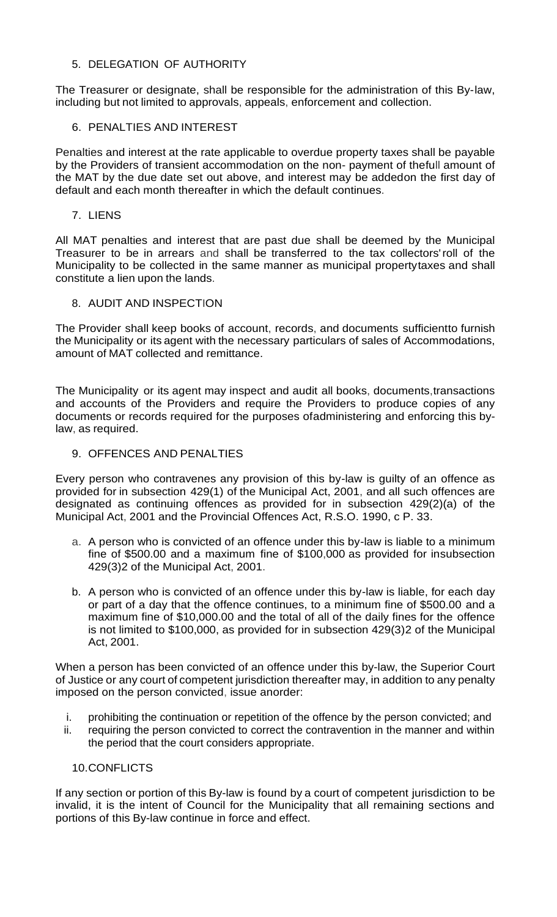#### 5. DELEGATION OF AUTHORITY

The Treasurer or designate, shall be responsible for the administration of this By-law, including but not limited to approvals, appeals, enforcement and collection.

## 6. PENALTIES AND INTEREST

Penalties and interest at the rate applicable to overdue property taxes shall be payable by the Providers of transient accommodation on the non- payment of thefull amount of the MAT by the due date set out above, and interest may be addedon the first day of default and each month thereafter in which the default continues.

7. LIENS

All MAT penalties and interest that are past due shall be deemed by the Municipal Treasurer to be in arrears and shall be transferred to the tax collectors'roll of the Municipality to be collected in the same manner as municipal propertytaxes and shall constitute a lien upon the lands.

#### 8. AUDIT AND INSPECTION

The Provider shall keep books of account, records, and documents sufficientto furnish the Municipality or its agent with the necessary particulars of sales of Accommodations, amount of MAT collected and remittance.

The Municipality or its agent may inspect and audit all books, documents,transactions and accounts of the Providers and require the Providers to produce copies of any documents or records required for the purposes ofadministering and enforcing this bylaw, as required.

#### 9. OFFENCES AND PENALTIES

Every person who contravenes any provision of this by-law is guilty of an offence as provided for in subsection 429(1) of the Municipal Act, 2001, and all such offences are designated as continuing offences as provided for in subsection 429(2)(a) of the Municipal Act, 2001 and the Provincial Offences Act, R.S.O. 1990, c P. 33.

- a. A person who is convicted of an offence under this by-law is liable to a minimum fine of \$500.00 and a maximum fine of \$100,000 as provided for insubsection 429(3)2 of the Municipal Act, 2001.
- b. A person who is convicted of an offence under this by-law is liable, for each day or part of a day that the offence continues, to a minimum fine of \$500.00 and a maximum fine of \$10,000.00 and the total of all of the daily fines for the offence is not limited to \$100,000, as provided for in subsection 429(3)2 of the Municipal Act, 2001.

When a person has been convicted of an offence under this by-law, the Superior Court of Justice or any court of competent jurisdiction thereafter may, in addition to any penalty imposed on the person convicted, issue anorder:

- i. prohibiting the continuation or repetition of the offence by the person convicted; and
- ii. requiring the person convicted to correct the contravention in the manner and within the period that the court considers appropriate.

#### 10.CONFLICTS

If any section or portion of this By-law is found by a court of competent jurisdiction to be invalid, it is the intent of Council for the Municipality that all remaining sections and portions of this By-law continue in force and effect.